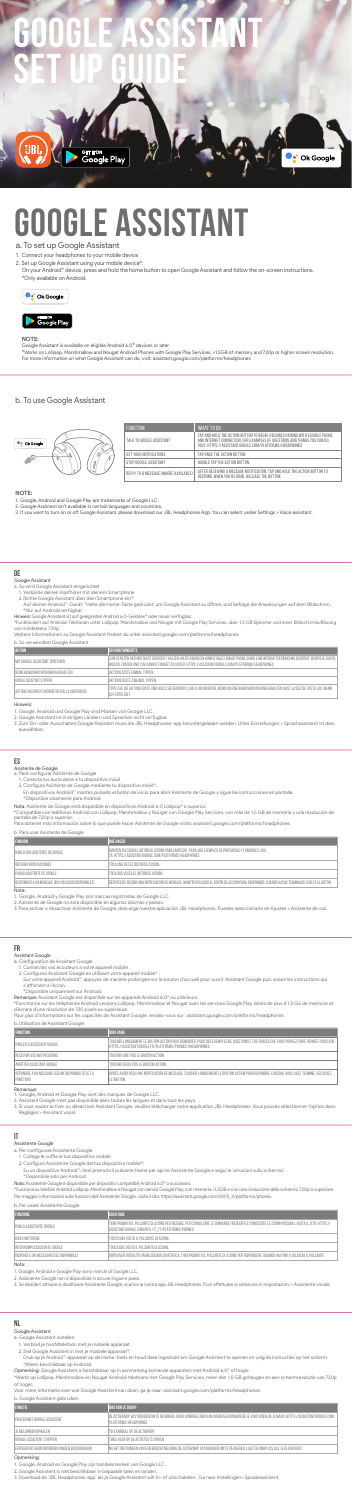# a. To set up Google Assistant

- 1. Connect your headphones to your mobile device
- 2. Set up Google Assistant using your mobile device\*:
	- On your Android™ device, press and hold the home button to open Google Assistant and follow the on-screen instructions. \*Only available on Android.



#### **NOTE:**

**EIBI** 

Google Assistant is available on eligible Android 6.0\* devices or later. \*Works on Lollipop, Marshmallow and Nougat Android Phones with Google Play Services, >1.5GB of memory and 720p or higher screen resolution. For more information on what Google Assistant can do, visit: assistant.google.com/platforms/headphones

#### **NOTE:**

- 
- 1. Google, Android and Google Play are trademarks of Google LLC. 2. Google Assistant isn't available in certain languages and countries.
- 3. If you want to turn on or off Google Assistant, please download our JBL Headphones App. You can select under Settings > Voice assistant.

# b. To use Google Assistant





—————————<br>Google Play<br>———————————————————

# **Google Assistant Set Up Guide**

| <b>FUNCTION</b>                      | WHAT TO DO                                                                                                                                                                                                             |
|--------------------------------------|------------------------------------------------------------------------------------------------------------------------------------------------------------------------------------------------------------------------|
| TALK TO GOOGLE ASSISTANT             | TAP AND HOLD THE ACTION BUTTON TO BEGIN. REQUIRES PAIRING WITH ELIGIBLE PHONE<br>AND INTERNET CONNECTION. FOR EXAMPLES OF QUESTIONS AND THINGS YOU CAN DO.<br>VISIT: HTTPS://ASSISTANT.GOOGLE.COM/PLATFORMS/HEADPHONES |
| GET YOUR NOTIFICATIONS               | TAP ONCE THE ACTION BUTTON.                                                                                                                                                                                            |
| STOP GOOGLE ASSISTANT                | DOUBLE TAP THE ACTION BUTTON.                                                                                                                                                                                          |
| REPLY TO A MESSAGE (WHERE AVAILABLE) | AFTER RECEIVING A MESSAGE NOTIFICATION. TAP AND HOLD THE ACTION BUTTON TO<br>RESPOND. WHEN YOU'RE DONE. RELEASE THE BUTTON.                                                                                            |

**C** Ok Google

# **DE**

# Google Assistant

- 1. Google, Android und Google Play sind Marken von Google LLC
- 2. Google Assistant ist in einigen Ländern und Sprachen nicht verfügbar.<br>3. Zum Ein- oder Ausschalten Google Assistant muss die JBL Headphones-app heruntergeladen werden. Unter Einstellungen > Sprachassistent ist dies auswählbar.
- 
- a. So wird Google Assistant eingerichtet 1. Verbinde deinen Kopfhörer mit deinem Smartphone 2. Richte Google Assistant über dein Smartphone ein\*:
- Auf deinen Android™-Gerät: "Halte die Home-Taste gedrückt, um Google Assistant zu öffnen, und befolge die Anweisungen auf dem Bildschirm.<br>\*Nur auf Android verfügbar.
- Hinweis: GoogleAssistant ist auf geeignetenAndroid 6.0-Geräten\* oder neuer verfügbar.
- \*Funktioniert auf Android-Telefonen unter Lollipop, Marshmallow und Nougat mit Google Play Services, über 1,5 GB Speicher und einer Bildschirmauflösung von mindestens 720p.

Weitere Informationen zu Google Assistant findest du unter assistant.google.com/platforms/headphones

# b. So verwendest Google Assistant

2. Configurez Assistant Google en utilisant votre appareil mobile\* :<br>○ Sur votre appareil Android™, appuyez de manière prolongée sur le bouton d'accueil pour ouvrir Assistant Google puis suivez les instructions qu s'affichent à l'écran.

| <b>AKTION</b>                                  | <b>SO FUNKTIONIERT'S</b>                                                                                                                                                                                                                      |
|------------------------------------------------|-----------------------------------------------------------------------------------------------------------------------------------------------------------------------------------------------------------------------------------------------|
| MIT GOOGLE ASSISTANT SPRECHEN                  | ZUM STARTEN AKTIONSTASTE GEDRÜCKT HALTEN. HIERZU WIRD EIN KOMPATIBLES SMARTPHONE SOWIE EINE INTERNETVERBINDUNG BENÖTIGT. BEISPIELE DAFÜR.<br>WAS DU FRAGEN UND TUN KANNST.FINDEST DU UNTER: HTTPS://ASSISTANT.GOOGLE.COM/PLATFORMS/HEADPHONES |
| DEINE BENACHRICHTIGUNGEN ERHALTEN              | AKTIONSTASTE FINMAL TIPPEN.                                                                                                                                                                                                                   |
| GOOGLE ASSISTANT STOPPEN                       | AKTIONSTASTE ZWEIMAL TIPPEN.                                                                                                                                                                                                                  |
| AUF EINE NACHRICHT ANTWORTEN (FALLS VERFÜGBAR) | TIPPE AUF DIE AKTIONSTASTE UND HALTE SIE GEDRÜCKT. UM ZU ANTWORTEN. WENN DU EINE BENACHRICHTIGUNG ERHALTEN HAST. LASSE DIE TASTE LOS. WENN<br>DU FERTIG BIST.                                                                                 |
| and the state of the state of                  |                                                                                                                                                                                                                                               |

Hinweis:

## **ES**

Asistente de Google a. Para configurar Asistente de Google

1. Conecta tus auriculares a tu dispositivo móvil<br>2. Configura Asistente de Google mediante tu dispositivo móvil\*:

2. Assistant Google n'est pas disponible dans toutes les langues et dans tous les pays.<br>3. Si vous voulez activer ou désactiver Assistant Google, veuillez télécharger notre application JBL Headphones. Vous pouvez sélection Réglages > Assistant vocal.

\*Disponibile solo per Android. Nota: Assistente Google è disponibile per dispositivi compatibili Android 6.0\* o successivi.

En dispositivos Android™ mantén pulsado el botón de inicio para abrir Asistente de Google y sigue las instrucciones en pantalla. \*Disponible solamente para Android.

\*Funziona su telefoniAndroid Lollipop, Marshmallow e Nougat con servizi Google Play, con memoria >1,5GB e con una risoluzione dello schermo 720p o superiore. Per maggior informazioni sulle funzioni dell'Assistente Google, visita il sito: https://assistant.google.com/intl/it\_it/platforms/phones

Nota: Asistente de Google está disponible en dispositivos Android 6.0 Lollipop\* o superior.

\*Compatible con teléfonos Android con Lollipop, Marshmallow y Nougat con Google Play Services, con más de 1,5 GB de memoria y una resolución de pantalla de 720p o superior.

Para obtener más información sobre lo que puede hacer Asistente de Google visita: assistant.google.com/platforms/headphones

| b. Para usar Asistente de Google                  |                                                                                                                                                            |
|---------------------------------------------------|------------------------------------------------------------------------------------------------------------------------------------------------------------|
| <b>FUNCIÓN</b>                                    | <b>QUÉ HACER</b>                                                                                                                                           |
| HABLA CON ASISTENTE DE GOOGLE                     | MANTÉN PULSADO EL BOTÓN DE ACCIÓN PARA EMPEZAR. PARA VER EJEMPLOS DE PREGUNTAS Y FUNCIONES, VISI-<br>TA: HTTPS://ASSISTANT.GOOGLE.COM/PLATFORMS/HEADPHONES |
| OBTENER NOTIFICACIONES                            | TOCA UNA VEZ EL BOTÓN DE ACCIÓN.                                                                                                                           |
| <b>PARAR ASISTENTE DE GOOGLE</b>                  | TOCA DOS VECES EL BOTÓN DE ACCIÓN.                                                                                                                         |
| RESPONDER A UN MENSAJE (EN LOS CASOS DISPONIBLES) | DESPUÉS DE RECIBIR UNA NOTIFICACIÓN DE MENSAJE, MANTÉN PULSADO EL BOTÓN DE ACCIÓN PARA RESPONDER. CUANDO HAYAS TERMINADO, SUELTA EL BOTÓN.                 |
| $\cdots$                                          |                                                                                                                                                            |

Note:

1. Google, Android y Google Play son marcas registradas de Google LLC.<br>2. Asistente de Google no está disponible en algunos idiomas y países.

3. Para activar o desactivar Asistente de Google, descarga nuestra aplicación JBL Headphones. Puedes seleccionarlo en Ajustes > Asistente de voz.

#### **FR**

#### Assistant Google

a. Configuration de Assistant Google<br>1. Connectez vos écouteurs à votre appareil mobile

\*Disponible uniquement sur Android. Remarque: Assistant Google est disponible sur les appareils Android 6.0\* ou ultérieurs.

\*Fonctionne sur les téléphones Android versions Lollipop, Marshmallow et Nougat avec les services Google Play, dotés de plus d'1,5 Go de mémoire et d'écrans d'une résolution de 720 pixels ou supérieure.

Pour plus d'informations sur les capacités de Assistant Google, rendez-vous sur : assistant.google.com/platforms/headphones

b. Utilisation de Assistant Google

| <b>D. Othiodtion act topiotant Coogle</b>                     |                                                                                                                                                                                                     |
|---------------------------------------------------------------|-----------------------------------------------------------------------------------------------------------------------------------------------------------------------------------------------------|
| <b>FONCTION</b>                                               | <b>QUOI FAIRE</b>                                                                                                                                                                                   |
| PARLER À ASSISTANT GOOGLE                                     | TOUCHER LONGUEMENT LE BOUTON ACTION POUR DÉMARRER, POUR DES EXEMPLES DE QUESTIONS ET DE CHOSES QUE VOUS POUVEZ FAIRE, RENDEZ-VOUS SUR :<br>HTTPS://ASSISTANT.GOOGLE.FR/PLATFORMS/PHONES/#HEADPHONES |
| RECEVOIR VOS NOTIFICATIONS                                    | TOUCHER UNE FOIS LE BOUTON ACTION.                                                                                                                                                                  |
| ARRÊTER ASSISTANT GOOGLE                                      | TOUCHER DEUX FOIS LE BOUTON ACTION.                                                                                                                                                                 |
| RÉPONDRE À UN MESSAGE (SELON DISPONIBILITÉ DE LA<br>FONCTION) | APRÈS AVOIR RECU UNE NOTIFICATION DE MESSAGE. TOUCHER LONGUEMENT LE BOUTON ACTION POUR RÉPONDRE. LORSQUE VOUS AVEZ TERMINÉ. RELÂCHEZ<br>LE BOUTON.                                                  |
| Remarcule <sup>.</sup>                                        |                                                                                                                                                                                                     |

Remarque:

1. Google, Android et Google Play sont des marques de Google LLC.

#### **IT**

#### Assistente Google

a. Per configurare Assistente Google

1. Collega le cuffie al tuo dispositivo mobile

2. Configura Assistente Google dal tuo dispositivo mobile\*:

 Su un dispositivo Android™, tieni premuto il pulsante Home per aprire Assistente Google e segui le istruzioni sullo schermo.

b. Per usare Assistente Google

| <b>FUNZIONE</b>                          | <b>COSA FARE</b>                                                                                                                                                                                    |
|------------------------------------------|-----------------------------------------------------------------------------------------------------------------------------------------------------------------------------------------------------|
| <b>PARLA ASSISTENTE GOOGLE</b>           | TIENI PREMUTO IL PULSANTE DI AZIONE PER INIZIARE. PER CONSULTARE LE DOMANDE FREQUENTI E CONOSCERE LE AZIONI POSSIBILI. VISITA IL SITO: HTTPS://<br>ASSISTANT.GOOGLE.COM/INTL/IT IT/PLATFORMS/PHONES |
| RICEVI NOTIFICHE                         | TOCCA UNA VOLTA IL PULSANTE DI AZIONE.                                                                                                                                                              |
| INTERROMPI ASSISTENTE GOOGLE             | TOCCA DUE VOLTE IL PULSANTE DI AZIONE.                                                                                                                                                              |
| RISPONDI A UN MESSAGGIO (SE DISPONIBILE) | Í DOPO AVER RICEVUTO UN MESSAGGIO DI NOTIFICA. TIENI PREMUTO IL PULSANTE DI AZIONE PER RISPONDERE. QUANDO HAI FINITO. RILASCIA IL PULSANTE.                                                         |
| Nota:                                    |                                                                                                                                                                                                     |

Nota: 1. Google, Android e Google Play sono marchi di Google LLC. 2. Assistente Google non è disponibile in alcune lingue e paesi.

3. Se desideri attivare o disattivare Assistente Google, scarica la nostra app JBL Headphones. Puoi effettuare la selezione in Impostazioni > Assistente vocale.

## **NL**

## Google Assistent

a. Google Assistent instellen

1. Verbind je hoofdtelefoon met je mobiele apparaat

2. Stel Google Assistent in met je mobiele apparaat\*:

 Druk op je Android™-apparaat op de Home-toets en houd deze ingedrukt om Google Assistent te openen en volg de instructies op het scherm. \*Alleen beschikbaar op Android.

Opmerking: Google Assistent is beschikbaar op in aanmerking komende apparaten met Android 6.0\* of hoger.

\*Werkt op Lollipop, Marshmallow en Nougat Android-telefoons met Google Play Services, meer dan 1,5 GB geheugen en een schermresolutie van 720p of hoger.

Voor meer informatie over wat Google Assistent kan doen, ga je naar: assistant.google.com/platforms/headphones

|  |  |  | b. Google Assistent gebruiken |
|--|--|--|-------------------------------|
|--|--|--|-------------------------------|

| <b>FUNCTIE</b>                                | WAT KUN JE DOEN?                                                                                                                                                   |
|-----------------------------------------------|--------------------------------------------------------------------------------------------------------------------------------------------------------------------|
| <b>I PRATEN MET GOOGLE ASSISTENT</b>          | I DE ACTIEKNOP VASTHOUDEN OM TE BEGINNEN. VOOR VOORBEELDEN VAN VRAGEN EN DINGEN DIE JE KUNT DOEN GA JE NAAR: HTTPS://ASSISTANT.GOOGLE.COM/<br>PLATFORMS/HEADPHONES |
| <b>JE MELDINGEN OPHALEN</b>                   | TIK FENMAAL OP DE ACTIEKNOP.                                                                                                                                       |
| GOOGLE ASSISTENT STOPPEN                      | TWEE KEER OP DE ACTIETOETS TIKKEN.                                                                                                                                 |
| FEN BERICHT BEANTWOORDEN (INDIEN BESCHIKBAAR) | I NA HET ONTVANGEN VAN EEN BERICHTMELDING: DE ACTIEKNOP VASTHOUDEN OM TE REAGEREN. LAAT DE KNOP LOS ALS JE KLAAR BENT.                                             |
|                                               |                                                                                                                                                                    |

#### $\mathsf{ng}$

1. Google, Android en Google Play zijn handelsmerken van Google LLC.

2. Google Assistent is niet beschikbaar in bepaalde talen en landen.

3. Download de 'JBL Headphones-app' als je Google Assistent wilt in- of uitschakelen, Ga naar Instellingen> Spraakassistent.